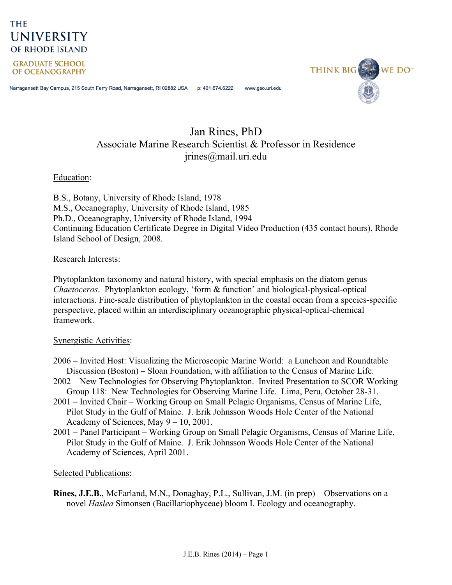## **THE UNIVERSITY** OF RHODE ISLAND

**GRADUATE SCHOOL** OF OCEANOGRAPHY

Narragansett Bay Campus, 215 South Ferry Road, Narragansett, RI 02882 USA p: 401.874.6222 www.gso.uri.edu

# **THINK BIG** WE DO<sup>"</sup>

### Jan Rines, PhD Associate Marine Research Scientist & Professor in Residence jrines@mail.uri.edu

Education:

B.S., Botany, University of Rhode Island, 1978 M.S., Oceanography, University of Rhode Island, 1985 Ph.D., Oceanography, University of Rhode Island, 1994 Continuing Education Certificate Degree in Digital Video Production (435 contact hours), Rhode Island School of Design, 2008.

#### Research Interests:

Phytoplankton taxonomy and natural history, with special emphasis on the diatom genus *Chaetoceros*. Phytoplankton ecology, 'form & function' and biological-physical-optical interactions. Fine-scale distribution of phytoplankton in the coastal ocean from a species-specific perspective, placed within an interdisciplinary oceanographic physical-optical-chemical framework.

#### Synergistic Activities:

- 2006 Invited Host: Visualizing the Microscopic Marine World: a Luncheon and Roundtable Discussion (Boston) – Sloan Foundation, with affiliation to the Census of Marine Life.
- 2002 New Technologies for Observing Phytoplankton. Invited Presentation to SCOR Working Group 118: New Technologies for Observing Marine Life. Lima, Peru, October 28-31.
- 2001 Invited Chair Working Group on Small Pelagic Organisms, Census of Marine Life, Pilot Study in the Gulf of Maine. J. Erik Johnsson Woods Hole Center of the National Academy of Sciences, May 9 – 10, 2001.
- 2001 Panel Participant Working Group on Small Pelagic Organisms, Census of Marine Life, Pilot Study in the Gulf of Maine. J. Erik Johnsson Woods Hole Center of the National Academy of Sciences, April 2001.

#### Selected Publications:

**Rines, J.E.B.**, McFarland, M.N., Donaghay, P.L., Sullivan, J.M. (in prep) – Observations on a novel *Haslea* Simonsen (Bacillariophyceae) bloom I. Ecology and oceanography.